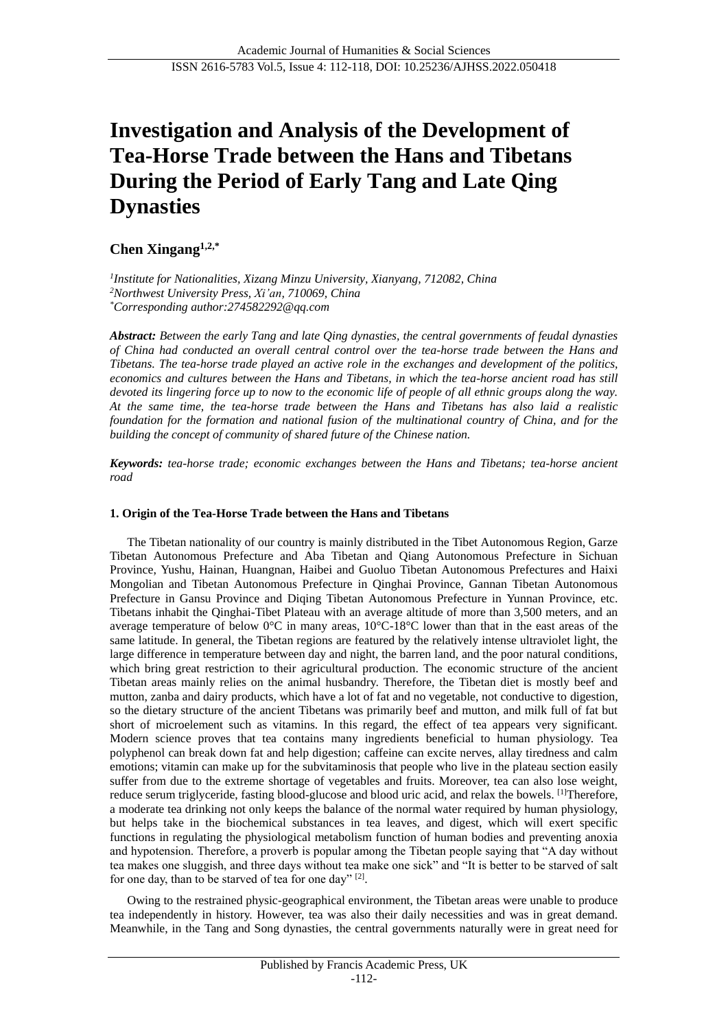# **Investigation and Analysis of the Development of Tea-Horse Trade between the Hans and Tibetans During the Period of Early Tang and Late Qing Dynasties**

## **Chen Xingang1,2,\***

*1 Institute for Nationalities, Xizang Minzu University, Xianyang, 712082, China <sup>2</sup>Northwest University Press, Xi'an, 710069, China \*Corresponding author:274582292@qq.com*

*Abstract: Between the early Tang and late Qing dynasties, the central governments of feudal dynasties of China had conducted an overall central control over the tea-horse trade between the Hans and Tibetans. The tea-horse trade played an active role in the exchanges and development of the politics, economics and cultures between the Hans and Tibetans, in which the tea-horse ancient road has still devoted its lingering force up to now to the economic life of people of all ethnic groups along the way. At the same time, the tea-horse trade between the Hans and Tibetans has also laid a realistic foundation for the formation and national fusion of the multinational country of China, and for the building the concept of community of shared future of the Chinese nation.*

*Keywords: tea-horse trade; economic exchanges between the Hans and Tibetans; tea-horse ancient road*

## **1. Origin of the Tea-Horse Trade between the Hans and Tibetans**

The Tibetan nationality of our country is mainly distributed in the Tibet Autonomous Region, Garze Tibetan Autonomous Prefecture and Aba Tibetan and Qiang Autonomous Prefecture in Sichuan Province, Yushu, Hainan, Huangnan, Haibei and Guoluo Tibetan Autonomous Prefectures and Haixi Mongolian and Tibetan Autonomous Prefecture in Qinghai Province, Gannan Tibetan Autonomous Prefecture in Gansu Province and Diqing Tibetan Autonomous Prefecture in Yunnan Province, etc. Tibetans inhabit the Qinghai-Tibet Plateau with an average altitude of more than 3,500 meters, and an average temperature of below  $0\ \mathbb{C}$  in many areas,  $10\ \mathbb{C}$ -18 $\ \mathbb{C}$  lower than that in the east areas of the same latitude. In general, the Tibetan regions are featured by the relatively intense ultraviolet light, the large difference in temperature between day and night, the barren land, and the poor natural conditions, which bring great restriction to their agricultural production. The economic structure of the ancient Tibetan areas mainly relies on the animal husbandry. Therefore, the Tibetan diet is mostly beef and mutton, zanba and dairy products, which have a lot of fat and no vegetable, not conductive to digestion, so the dietary structure of the ancient Tibetans was primarily beef and mutton, and milk full of fat but short of microelement such as vitamins. In this regard, the effect of tea appears very significant. Modern science proves that tea contains many ingredients beneficial to human physiology. Tea polyphenol can break down fat and help digestion; caffeine can excite nerves, allay tiredness and calm emotions; vitamin can make up for the subvitaminosis that people who live in the plateau section easily suffer from due to the extreme shortage of vegetables and fruits. Moreover, tea can also lose weight, reduce serum triglyceride, fasting blood-glucose and blood uric acid, and relax the bowels. [1]Therefore, a moderate tea drinking not only keeps the balance of the normal water required by human physiology, but helps take in the biochemical substances in tea leaves, and digest, which will exert specific functions in regulating the physiological metabolism function of human bodies and preventing anoxia and hypotension. Therefore, a proverb is popular among the Tibetan people saying that "A day without tea makes one sluggish, and three days without tea make one sick" and "It is better to be starved of salt for one day, than to be starved of tea for one day"<sup>[2]</sup>.

Owing to the restrained physic-geographical environment, the Tibetan areas were unable to produce tea independently in history. However, tea was also their daily necessities and was in great demand. Meanwhile, in the Tang and Song dynasties, the central governments naturally were in great need for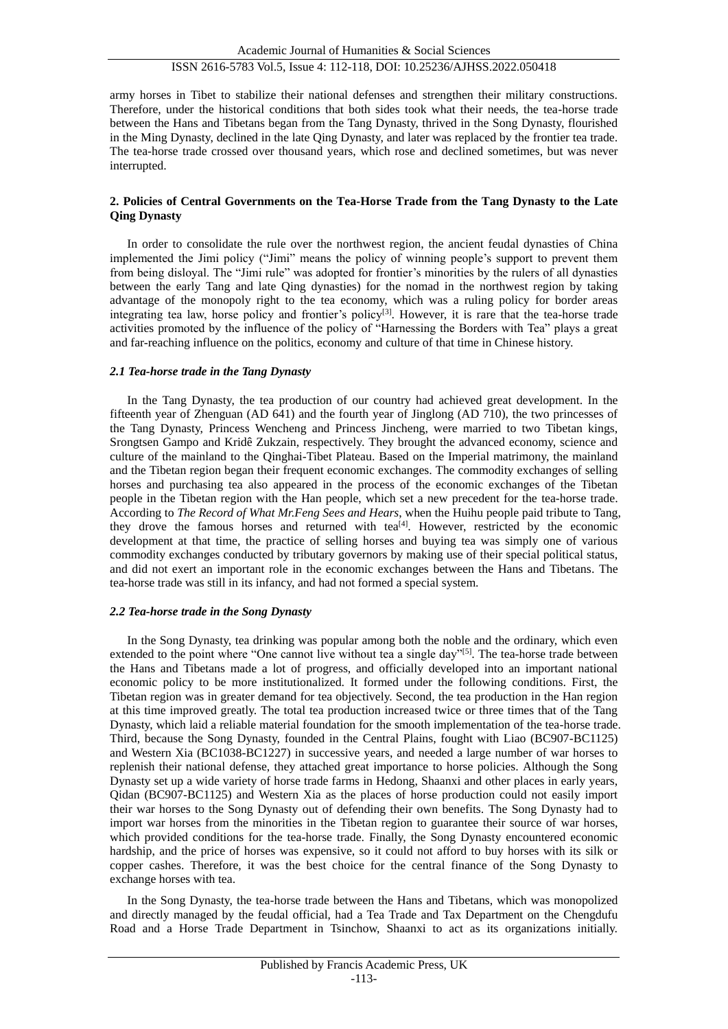army horses in Tibet to stabilize their national defenses and strengthen their military constructions. Therefore, under the historical conditions that both sides took what their needs, the tea-horse trade between the Hans and Tibetans began from the Tang Dynasty, thrived in the Song Dynasty, flourished in the Ming Dynasty, declined in the late Qing Dynasty, and later was replaced by the frontier tea trade. The tea-horse trade crossed over thousand years, which rose and declined sometimes, but was never interrupted.

## **2. Policies of Central Governments on the Tea-Horse Trade from the Tang Dynasty to the Late Qing Dynasty**

In order to consolidate the rule over the northwest region, the ancient feudal dynasties of China implemented the Jimi policy ("Jimi" means the policy of winning people's support to prevent them from being disloyal. The "Jimi rule" was adopted for frontier's minorities by the rulers of all dynasties between the early Tang and late Qing dynasties) for the nomad in the northwest region by taking advantage of the monopoly right to the tea economy, which was a ruling policy for border areas integrating tea law, horse policy and frontier's policy<sup>[3]</sup>. However, it is rare that the tea-horse trade activities promoted by the influence of the policy of "Harnessing the Borders with Tea" plays a great and far-reaching influence on the politics, economy and culture of that time in Chinese history.

## *2.1 Tea-horse trade in the Tang Dynasty*

In the Tang Dynasty, the tea production of our country had achieved great development. In the fifteenth year of Zhenguan (AD 641) and the fourth year of Jinglong (AD 710), the two princesses of the Tang Dynasty, Princess Wencheng and Princess Jincheng, were married to two Tibetan kings, Srongtsen Gampo and Kridê Zukzain, respectively. They brought the advanced economy, science and culture of the mainland to the Qinghai-Tibet Plateau. Based on the Imperial matrimony, the mainland and the Tibetan region began their frequent economic exchanges. The commodity exchanges of selling horses and purchasing tea also appeared in the process of the economic exchanges of the Tibetan people in the Tibetan region with the Han people, which set a new precedent for the tea-horse trade. According to *The Record of What Mr.Feng Sees and Hears*, when the Huihu people paid tribute to Tang, they drove the famous horses and returned with tea<sup>[4]</sup>. However, restricted by the economic development at that time, the practice of selling horses and buying tea was simply one of various commodity exchanges conducted by tributary governors by making use of their special political status, and did not exert an important role in the economic exchanges between the Hans and Tibetans. The tea-horse trade was still in its infancy, and had not formed a special system.

## *2.2 Tea-horse trade in the Song Dynasty*

In the Song Dynasty, tea drinking was popular among both the noble and the ordinary, which even extended to the point where "One cannot live without tea a single day"<sup>[5]</sup>. The tea-horse trade between the Hans and Tibetans made a lot of progress, and officially developed into an important national economic policy to be more institutionalized. It formed under the following conditions. First, the Tibetan region was in greater demand for tea objectively. Second, the tea production in the Han region at this time improved greatly. The total tea production increased twice or three times that of the Tang Dynasty, which laid a reliable material foundation for the smooth implementation of the tea-horse trade. Third, because the Song Dynasty, founded in the Central Plains, fought with Liao (BC907-BC1125) and Western Xia (BC1038-BC1227) in successive years, and needed a large number of war horses to replenish their national defense, they attached great importance to horse policies. Although the Song Dynasty set up a wide variety of horse trade farms in Hedong, Shaanxi and other places in early years, Qidan (BC907-BC1125) and Western Xia as the places of horse production could not easily import their war horses to the Song Dynasty out of defending their own benefits. The Song Dynasty had to import war horses from the minorities in the Tibetan region to guarantee their source of war horses, which provided conditions for the tea-horse trade. Finally, the Song Dynasty encountered economic hardship, and the price of horses was expensive, so it could not afford to buy horses with its silk or copper cashes. Therefore, it was the best choice for the central finance of the Song Dynasty to exchange horses with tea.

In the Song Dynasty, the tea-horse trade between the Hans and Tibetans, which was monopolized and directly managed by the feudal official, had a Tea Trade and Tax Department on the Chengdufu Road and a Horse Trade Department in Tsinchow, Shaanxi to act as its organizations initially.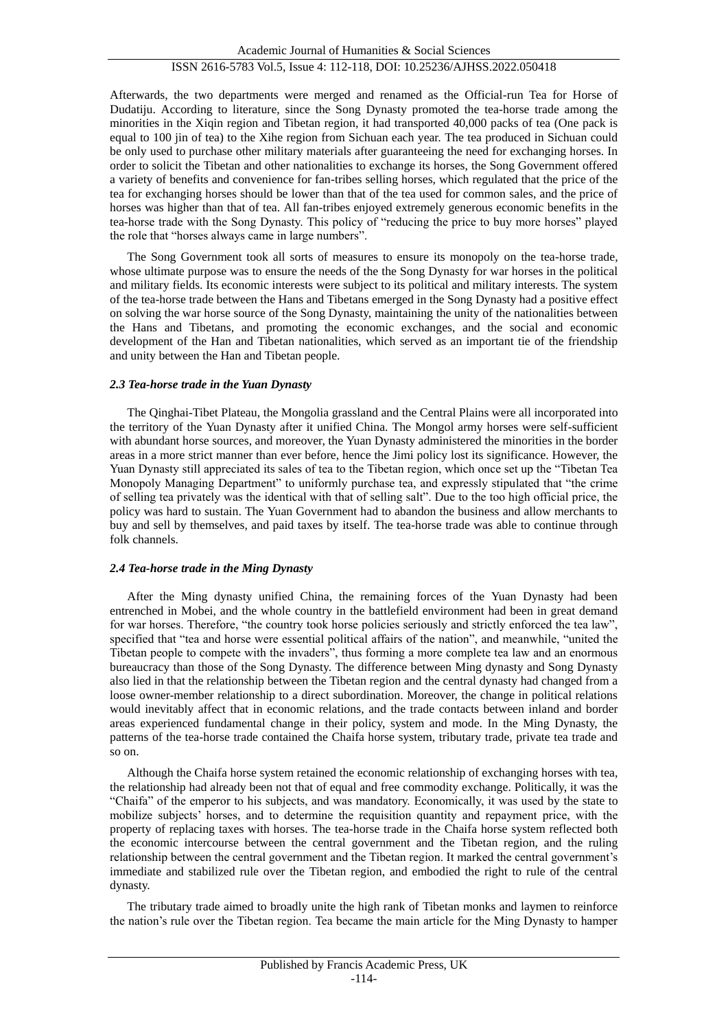Afterwards, the two departments were merged and renamed as the Official-run Tea for Horse of Dudatiju. According to literature, since the Song Dynasty promoted the tea-horse trade among the minorities in the Xiqin region and Tibetan region, it had transported 40,000 packs of tea (One pack is equal to 100 jin of tea) to the Xihe region from Sichuan each year. The tea produced in Sichuan could be only used to purchase other military materials after guaranteeing the need for exchanging horses. In order to solicit the Tibetan and other nationalities to exchange its horses, the Song Government offered a variety of benefits and convenience for fan-tribes selling horses, which regulated that the price of the tea for exchanging horses should be lower than that of the tea used for common sales, and the price of horses was higher than that of tea. All fan-tribes enjoyed extremely generous economic benefits in the tea-horse trade with the Song Dynasty. This policy of "reducing the price to buy more horses" played the role that "horses always came in large numbers".

The Song Government took all sorts of measures to ensure its monopoly on the tea-horse trade, whose ultimate purpose was to ensure the needs of the the Song Dynasty for war horses in the political and military fields. Its economic interests were subject to its political and military interests. The system of the tea-horse trade between the Hans and Tibetans emerged in the Song Dynasty had a positive effect on solving the war horse source of the Song Dynasty, maintaining the unity of the nationalities between the Hans and Tibetans, and promoting the economic exchanges, and the social and economic development of the Han and Tibetan nationalities, which served as an important tie of the friendship and unity between the Han and Tibetan people.

## *2.3 Tea-horse trade in the Yuan Dynasty*

The Qinghai-Tibet Plateau, the Mongolia grassland and the Central Plains were all incorporated into the territory of the Yuan Dynasty after it unified China. The Mongol army horses were self-sufficient with abundant horse sources, and moreover, the Yuan Dynasty administered the minorities in the border areas in a more strict manner than ever before, hence the Jimi policy lost its significance. However, the Yuan Dynasty still appreciated its sales of tea to the Tibetan region, which once set up the "Tibetan Tea Monopoly Managing Department" to uniformly purchase tea, and expressly stipulated that "the crime of selling tea privately was the identical with that of selling salt". Due to the too high official price, the policy was hard to sustain. The Yuan Government had to abandon the business and allow merchants to buy and sell by themselves, and paid taxes by itself. The tea-horse trade was able to continue through folk channels.

## *2.4 Tea-horse trade in the Ming Dynasty*

After the Ming dynasty unified China, the remaining forces of the Yuan Dynasty had been entrenched in Mobei, and the whole country in the battlefield environment had been in great demand for war horses. Therefore, "the country took horse policies seriously and strictly enforced the tea law", specified that "tea and horse were essential political affairs of the nation", and meanwhile, "united the Tibetan people to compete with the invaders", thus forming a more complete tea law and an enormous bureaucracy than those of the Song Dynasty. The difference between Ming dynasty and Song Dynasty also lied in that the relationship between the Tibetan region and the central dynasty had changed from a loose owner-member relationship to a direct subordination. Moreover, the change in political relations would inevitably affect that in economic relations, and the trade contacts between inland and border areas experienced fundamental change in their policy, system and mode. In the Ming Dynasty, the patterns of the tea-horse trade contained the Chaifa horse system, tributary trade, private tea trade and so on.

Although the Chaifa horse system retained the economic relationship of exchanging horses with tea, the relationship had already been not that of equal and free commodity exchange. Politically, it was the "Chaifa" of the emperor to his subjects, and was mandatory. Economically, it was used by the state to mobilize subjects' horses, and to determine the requisition quantity and repayment price, with the property of replacing taxes with horses. The tea-horse trade in the Chaifa horse system reflected both the economic intercourse between the central government and the Tibetan region, and the ruling relationship between the central government and the Tibetan region. It marked the central government's immediate and stabilized rule over the Tibetan region, and embodied the right to rule of the central dynasty.

The tributary trade aimed to broadly unite the high rank of Tibetan monks and laymen to reinforce the nation's rule over the Tibetan region. Tea became the main article for the Ming Dynasty to hamper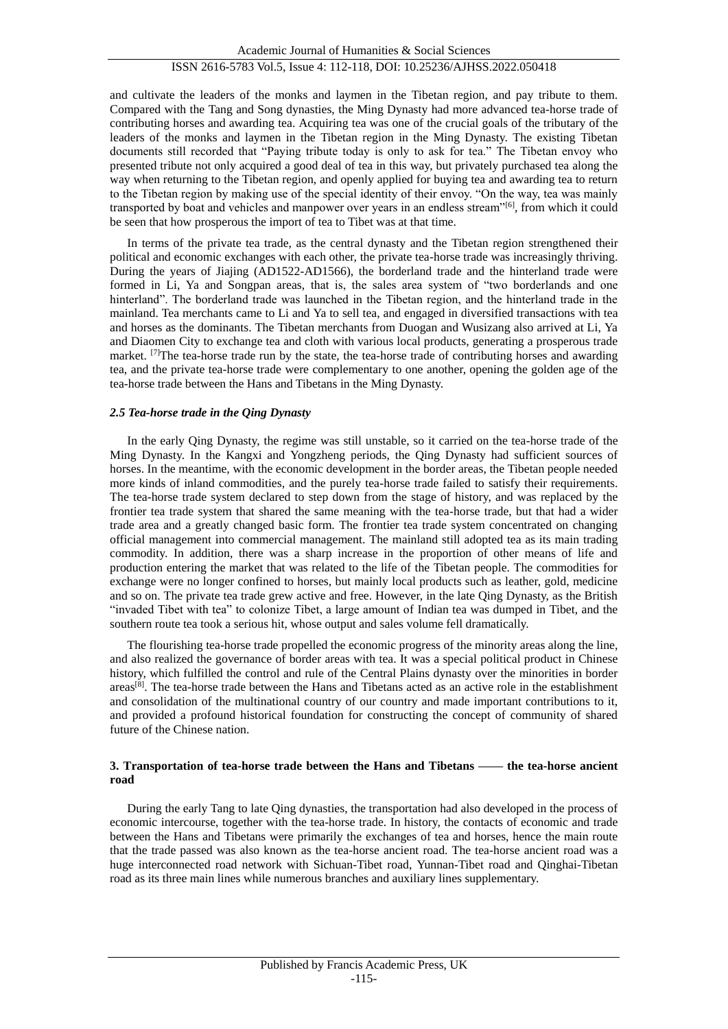and cultivate the leaders of the monks and laymen in the Tibetan region, and pay tribute to them. Compared with the Tang and Song dynasties, the Ming Dynasty had more advanced tea-horse trade of contributing horses and awarding tea. Acquiring tea was one of the crucial goals of the tributary of the leaders of the monks and laymen in the Tibetan region in the Ming Dynasty. The existing Tibetan documents still recorded that "Paying tribute today is only to ask for tea." The Tibetan envoy who presented tribute not only acquired a good deal of tea in this way, but privately purchased tea along the way when returning to the Tibetan region, and openly applied for buying tea and awarding tea to return to the Tibetan region by making use of the special identity of their envoy. "On the way, tea was mainly transported by boat and vehicles and manpower over years in an endless stream"<sup>[6]</sup>, from which it could be seen that how prosperous the import of tea to Tibet was at that time.

In terms of the private tea trade, as the central dynasty and the Tibetan region strengthened their political and economic exchanges with each other, the private tea-horse trade was increasingly thriving. During the years of Jiajing (AD1522-AD1566), the borderland trade and the hinterland trade were formed in Li, Ya and Songpan areas, that is, the sales area system of "two borderlands and one hinterland". The borderland trade was launched in the Tibetan region, and the hinterland trade in the mainland. Tea merchants came to Li and Ya to sell tea, and engaged in diversified transactions with tea and horses as the dominants. The Tibetan merchants from Duogan and Wusizang also arrived at Li, Ya and Diaomen City to exchange tea and cloth with various local products, generating a prosperous trade market. [7]The tea-horse trade run by the state, the tea-horse trade of contributing horses and awarding tea, and the private tea-horse trade were complementary to one another, opening the golden age of the tea-horse trade between the Hans and Tibetans in the Ming Dynasty.

## *2.5 Tea-horse trade in the Qing Dynasty*

In the early Qing Dynasty, the regime was still unstable, so it carried on the tea-horse trade of the Ming Dynasty. In the Kangxi and Yongzheng periods, the Qing Dynasty had sufficient sources of horses. In the meantime, with the economic development in the border areas, the Tibetan people needed more kinds of inland commodities, and the purely tea-horse trade failed to satisfy their requirements. The tea-horse trade system declared to step down from the stage of history, and was replaced by the frontier tea trade system that shared the same meaning with the tea-horse trade, but that had a wider trade area and a greatly changed basic form. The frontier tea trade system concentrated on changing official management into commercial management. The mainland still adopted tea as its main trading commodity. In addition, there was a sharp increase in the proportion of other means of life and production entering the market that was related to the life of the Tibetan people. The commodities for exchange were no longer confined to horses, but mainly local products such as leather, gold, medicine and so on. The private tea trade grew active and free. However, in the late Qing Dynasty, as the British "invaded Tibet with tea" to colonize Tibet, a large amount of Indian tea was dumped in Tibet, and the southern route tea took a serious hit, whose output and sales volume fell dramatically.

The flourishing tea-horse trade propelled the economic progress of the minority areas along the line, and also realized the governance of border areas with tea. It was a special political product in Chinese history, which fulfilled the control and rule of the Central Plains dynasty over the minorities in border areas<sup>[8]</sup>. The tea-horse trade between the Hans and Tibetans acted as an active role in the establishment and consolidation of the multinational country of our country and made important contributions to it, and provided a profound historical foundation for constructing the concept of community of shared future of the Chinese nation.

## **3. Transportation of tea-horse trade between the Hans and Tibetans —— the tea-horse ancient road**

During the early Tang to late Qing dynasties, the transportation had also developed in the process of economic intercourse, together with the tea-horse trade. In history, the contacts of economic and trade between the Hans and Tibetans were primarily the exchanges of tea and horses, hence the main route that the trade passed was also known as the tea-horse ancient road. The tea-horse ancient road was a huge interconnected road network with Sichuan-Tibet road, Yunnan-Tibet road and Qinghai-Tibetan road as its three main lines while numerous branches and auxiliary lines supplementary.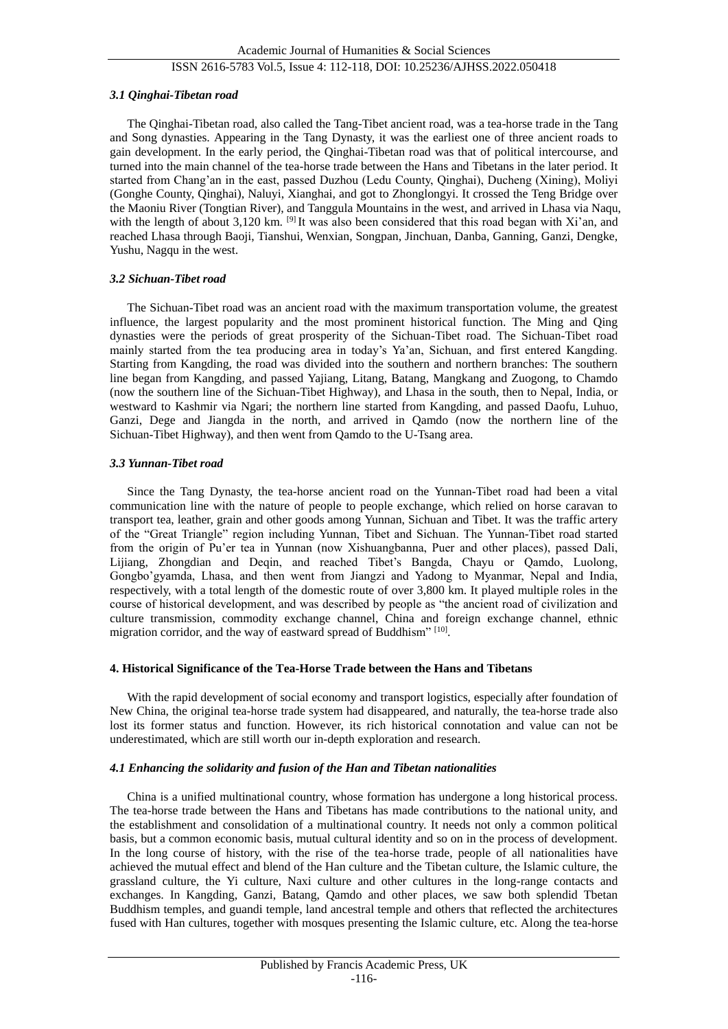## ISSN 2616-5783 Vol.5, Issue 4: 112-118, DOI: 10.25236/AJHSS.2022.050418

## *3.1 Qinghai-Tibetan road*

The Qinghai-Tibetan road, also called the Tang-Tibet ancient road, was a tea-horse trade in the Tang and Song dynasties. Appearing in the Tang Dynasty, it was the earliest one of three ancient roads to gain development. In the early period, the Qinghai-Tibetan road was that of political intercourse, and turned into the main channel of the tea-horse trade between the Hans and Tibetans in the later period. It started from Chang'an in the east, passed Duzhou (Ledu County, Qinghai), Ducheng (Xining), Moliyi (Gonghe County, Qinghai), Naluyi, Xianghai, and got to Zhonglongyi. It crossed the Teng Bridge over the Maoniu River (Tongtian River), and Tanggula Mountains in the west, and arrived in Lhasa via Naqu, with the length of about 3,120 km. <sup>[9]</sup> It was also been considered that this road began with Xi'an, and reached Lhasa through Baoji, Tianshui, Wenxian, Songpan, Jinchuan, Danba, Ganning, Ganzi, Dengke, Yushu, Nagqu in the west.

### *3.2 Sichuan-Tibet road*

The Sichuan-Tibet road was an ancient road with the maximum transportation volume, the greatest influence, the largest popularity and the most prominent historical function. The Ming and Qing dynasties were the periods of great prosperity of the Sichuan-Tibet road. The Sichuan-Tibet road mainly started from the tea producing area in today's Ya'an, Sichuan, and first entered Kangding. Starting from Kangding, the road was divided into the southern and northern branches: The southern line began from Kangding, and passed Yajiang, Litang, Batang, Mangkang and Zuogong, to Chamdo (now the southern line of the Sichuan-Tibet Highway), and Lhasa in the south, then to Nepal, India, or westward to Kashmir via Ngari; the northern line started from Kangding, and passed Daofu, Luhuo, Ganzi, Dege and Jiangda in the north, and arrived in Qamdo (now the northern line of the Sichuan-Tibet Highway), and then went from Qamdo to the U-Tsang area.

### *3.3 Yunnan-Tibet road*

Since the Tang Dynasty, the tea-horse ancient road on the Yunnan-Tibet road had been a vital communication line with the nature of people to people exchange, which relied on horse caravan to transport tea, leather, grain and other goods among Yunnan, Sichuan and Tibet. It was the traffic artery of the "Great Triangle" region including Yunnan, Tibet and Sichuan. The Yunnan-Tibet road started from the origin of Pu'er tea in Yunnan (now Xishuangbanna, Puer and other places), passed Dali, Lijiang, Zhongdian and Deqin, and reached Tibet's Bangda, Chayu or Qamdo, Luolong, Gongbo'gyamda, Lhasa, and then went from Jiangzi and Yadong to Myanmar, Nepal and India, respectively, with a total length of the domestic route of over 3,800 km. It played multiple roles in the course of historical development, and was described by people as "the ancient road of civilization and culture transmission, commodity exchange channel, China and foreign exchange channel, ethnic migration corridor, and the way of eastward spread of Buddhism" [10].

## **4. Historical Significance of the Tea-Horse Trade between the Hans and Tibetans**

With the rapid development of social economy and transport logistics, especially after foundation of New China, the original tea-horse trade system had disappeared, and naturally, the tea-horse trade also lost its former status and function. However, its rich historical connotation and value can not be underestimated, which are still worth our in-depth exploration and research.

## *4.1 Enhancing the solidarity and fusion of the Han and Tibetan nationalities*

China is a unified multinational country, whose formation has undergone a long historical process. The tea-horse trade between the Hans and Tibetans has made contributions to the national unity, and the establishment and consolidation of a multinational country. It needs not only a common political basis, but a common economic basis, mutual cultural identity and so on in the process of development. In the long course of history, with the rise of the tea-horse trade, people of all nationalities have achieved the mutual effect and blend of the Han culture and the Tibetan culture, the Islamic culture, the grassland culture, the Yi culture, Naxi culture and other cultures in the long-range contacts and exchanges. In Kangding, Ganzi, Batang, Qamdo and other places, we saw both splendid Tbetan Buddhism temples, and guandi temple, land ancestral temple and others that reflected the architectures fused with Han cultures, together with mosques presenting the Islamic culture, etc. Along the tea-horse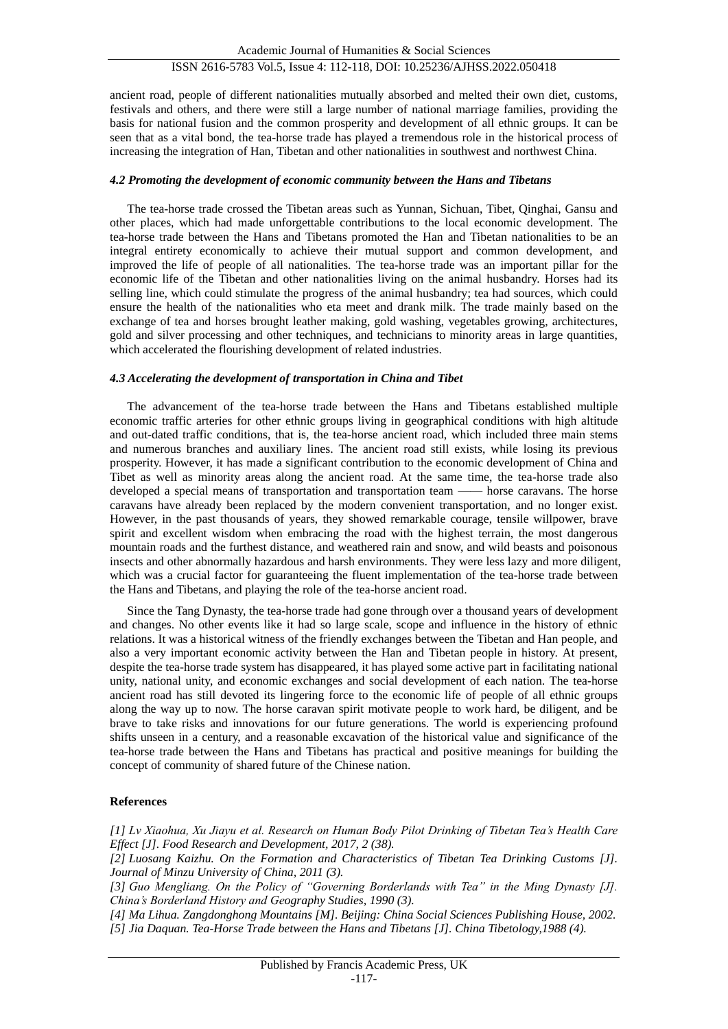ancient road, people of different nationalities mutually absorbed and melted their own diet, customs, festivals and others, and there were still a large number of national marriage families, providing the basis for national fusion and the common prosperity and development of all ethnic groups. It can be seen that as a vital bond, the tea-horse trade has played a tremendous role in the historical process of increasing the integration of Han, Tibetan and other nationalities in southwest and northwest China.

## *4.2 Promoting the development of economic community between the Hans and Tibetans*

The tea-horse trade crossed the Tibetan areas such as Yunnan, Sichuan, Tibet, Qinghai, Gansu and other places, which had made unforgettable contributions to the local economic development. The tea-horse trade between the Hans and Tibetans promoted the Han and Tibetan nationalities to be an integral entirety economically to achieve their mutual support and common development, and improved the life of people of all nationalities. The tea-horse trade was an important pillar for the economic life of the Tibetan and other nationalities living on the animal husbandry. Horses had its selling line, which could stimulate the progress of the animal husbandry; tea had sources, which could ensure the health of the nationalities who eta meet and drank milk. The trade mainly based on the exchange of tea and horses brought leather making, gold washing, vegetables growing, architectures, gold and silver processing and other techniques, and technicians to minority areas in large quantities, which accelerated the flourishing development of related industries.

### *4.3 Accelerating the development of transportation in China and Tibet*

The advancement of the tea-horse trade between the Hans and Tibetans established multiple economic traffic arteries for other ethnic groups living in geographical conditions with high altitude and out-dated traffic conditions, that is, the tea-horse ancient road, which included three main stems and numerous branches and auxiliary lines. The ancient road still exists, while losing its previous prosperity. However, it has made a significant contribution to the economic development of China and Tibet as well as minority areas along the ancient road. At the same time, the tea-horse trade also developed a special means of transportation and transportation team —— horse caravans. The horse caravans have already been replaced by the modern convenient transportation, and no longer exist. However, in the past thousands of years, they showed remarkable courage, tensile willpower, brave spirit and excellent wisdom when embracing the road with the highest terrain, the most dangerous mountain roads and the furthest distance, and weathered rain and snow, and wild beasts and poisonous insects and other abnormally hazardous and harsh environments. They were less lazy and more diligent, which was a crucial factor for guaranteeing the fluent implementation of the tea-horse trade between the Hans and Tibetans, and playing the role of the tea-horse ancient road.

Since the Tang Dynasty, the tea-horse trade had gone through over a thousand years of development and changes. No other events like it had so large scale, scope and influence in the history of ethnic relations. It was a historical witness of the friendly exchanges between the Tibetan and Han people, and also a very important economic activity between the Han and Tibetan people in history. At present, despite the tea-horse trade system has disappeared, it has played some active part in facilitating national unity, national unity, and economic exchanges and social development of each nation. The tea-horse ancient road has still devoted its lingering force to the economic life of people of all ethnic groups along the way up to now. The horse caravan spirit motivate people to work hard, be diligent, and be brave to take risks and innovations for our future generations. The world is experiencing profound shifts unseen in a century, and a reasonable excavation of the historical value and significance of the tea-horse trade between the Hans and Tibetans has practical and positive meanings for building the concept of community of shared future of the Chinese nation.

## **References**

*[1] Lv Xiaohua, Xu Jiayu et al. Research on Human Body Pilot Drinking of Tibetan Tea's Health Care Effect [J]. Food Research and Development, 2017, 2 (38).*

*[2] Luosang Kaizhu. On the Formation and Characteristics of Tibetan Tea Drinking Customs [J]. Journal of Minzu University of China, 2011 (3).*

*[3] Guo Mengliang. On the Policy of "Governing Borderlands with Tea" in the Ming Dynasty [J]. China's Borderland History and Geography Studies, 1990 (3).*

*[4] Ma Lihua. Zangdonghong Mountains [M]. Beijing: China Social Sciences Publishing House, 2002. [5] Jia Daquan. Tea-Horse Trade between the Hans and Tibetans [J]. China Tibetology,1988 (4).*